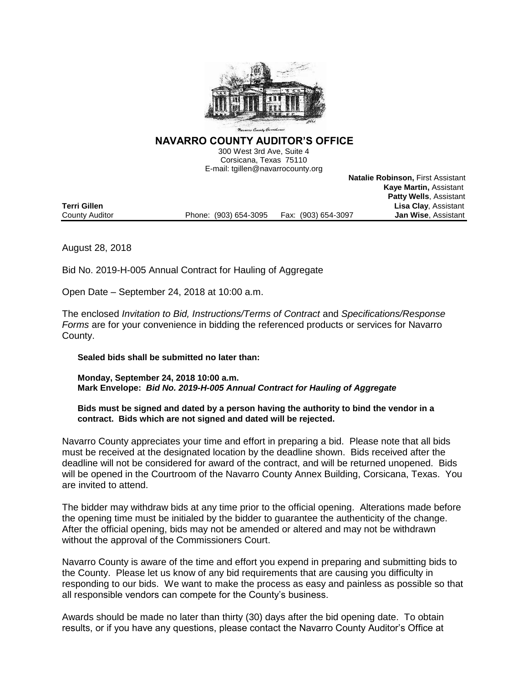

**NAVARRO COUNTY AUDITOR'S OFFICE** 

300 West 3rd Ave, Suite 4 Corsicana, Texas 75110 E-mail: tgillen@navarrocounty.org

**Natalie Robinson,** First Assistant

|                     |                       |                     | <b>Kaye Martin, Assistant</b> |
|---------------------|-----------------------|---------------------|-------------------------------|
|                     |                       |                     | <b>Patty Wells, Assistant</b> |
| <b>Terri Gillen</b> |                       |                     | <b>Lisa Clay, Assistant</b>   |
| County Auditor      | Phone: (903) 654-3095 | Fax: (903) 654-3097 | <b>Jan Wise. Assistant</b>    |

August 28, 2018

Bid No. 2019-H-005 Annual Contract for Hauling of Aggregate

Open Date – September 24, 2018 at 10:00 a.m.

The enclosed *Invitation to Bid, Instructions/Terms of Contract* and *Specifications/Response Forms* are for your convenience in bidding the referenced products or services for Navarro County.

### **Sealed bids shall be submitted no later than:**

**Monday, September 24, 2018 10:00 a.m. Mark Envelope:** *Bid No. 2019-H-005 Annual Contract for Hauling of Aggregate*

**Bids must be signed and dated by a person having the authority to bind the vendor in a contract. Bids which are not signed and dated will be rejected.**

Navarro County appreciates your time and effort in preparing a bid. Please note that all bids must be received at the designated location by the deadline shown. Bids received after the deadline will not be considered for award of the contract, and will be returned unopened. Bids will be opened in the Courtroom of the Navarro County Annex Building, Corsicana, Texas. You are invited to attend.

The bidder may withdraw bids at any time prior to the official opening. Alterations made before the opening time must be initialed by the bidder to guarantee the authenticity of the change. After the official opening, bids may not be amended or altered and may not be withdrawn without the approval of the Commissioners Court.

Navarro County is aware of the time and effort you expend in preparing and submitting bids to the County. Please let us know of any bid requirements that are causing you difficulty in responding to our bids. We want to make the process as easy and painless as possible so that all responsible vendors can compete for the County's business.

Awards should be made no later than thirty (30) days after the bid opening date. To obtain results, or if you have any questions, please contact the Navarro County Auditor's Office at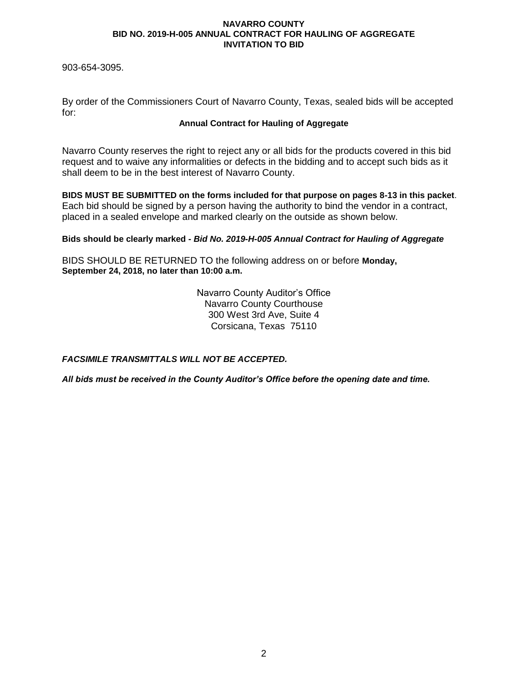903-654-3095.

By order of the Commissioners Court of Navarro County, Texas, sealed bids will be accepted for:

# **Annual Contract for Hauling of Aggregate**

Navarro County reserves the right to reject any or all bids for the products covered in this bid request and to waive any informalities or defects in the bidding and to accept such bids as it shall deem to be in the best interest of Navarro County.

**BIDS MUST BE SUBMITTED on the forms included for that purpose on pages 8-13 in this packet**. Each bid should be signed by a person having the authority to bind the vendor in a contract, placed in a sealed envelope and marked clearly on the outside as shown below.

**Bids should be clearly marked -** *Bid No. 2019-H-005 Annual Contract for Hauling of Aggregate*

BIDS SHOULD BE RETURNED TO the following address on or before **Monday, September 24, 2018, no later than 10:00 a.m.**

> Navarro County Auditor's Office Navarro County Courthouse 300 West 3rd Ave, Suite 4 Corsicana, Texas 75110

*FACSIMILE TRANSMITTALS WILL NOT BE ACCEPTED.*

*All bids must be received in the County Auditor's Office before the opening date and time.*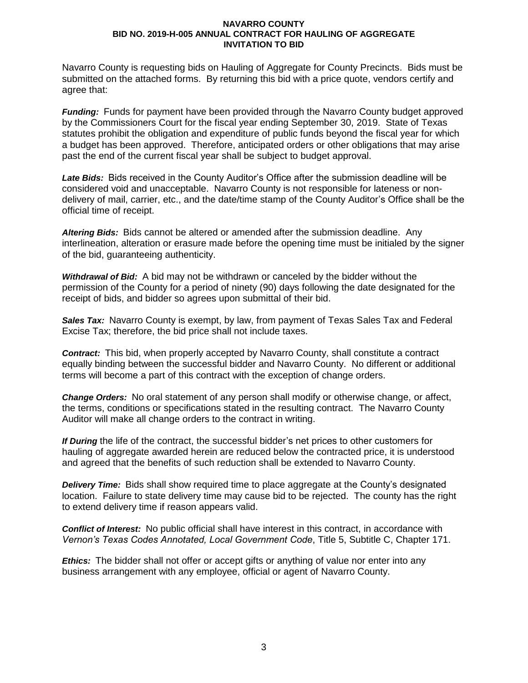Navarro County is requesting bids on Hauling of Aggregate for County Precincts. Bids must be submitted on the attached forms. By returning this bid with a price quote, vendors certify and agree that:

*Funding:* Funds for payment have been provided through the Navarro County budget approved by the Commissioners Court for the fiscal year ending September 30, 2019. State of Texas statutes prohibit the obligation and expenditure of public funds beyond the fiscal year for which a budget has been approved. Therefore, anticipated orders or other obligations that may arise past the end of the current fiscal year shall be subject to budget approval.

*Late Bids:* Bids received in the County Auditor's Office after the submission deadline will be considered void and unacceptable. Navarro County is not responsible for lateness or nondelivery of mail, carrier, etc., and the date/time stamp of the County Auditor's Office shall be the official time of receipt.

*Altering Bids:* Bids cannot be altered or amended after the submission deadline. Any interlineation, alteration or erasure made before the opening time must be initialed by the signer of the bid, guaranteeing authenticity.

*Withdrawal of Bid:* A bid may not be withdrawn or canceled by the bidder without the permission of the County for a period of ninety (90) days following the date designated for the receipt of bids, and bidder so agrees upon submittal of their bid.

*Sales Tax:* Navarro County is exempt, by law, from payment of Texas Sales Tax and Federal Excise Tax; therefore, the bid price shall not include taxes.

*Contract:* This bid, when properly accepted by Navarro County, shall constitute a contract equally binding between the successful bidder and Navarro County. No different or additional terms will become a part of this contract with the exception of change orders.

*Change Orders:* No oral statement of any person shall modify or otherwise change, or affect, the terms, conditions or specifications stated in the resulting contract. The Navarro County Auditor will make all change orders to the contract in writing.

*If During* the life of the contract, the successful bidder's net prices to other customers for hauling of aggregate awarded herein are reduced below the contracted price, it is understood and agreed that the benefits of such reduction shall be extended to Navarro County.

*Delivery Time:* Bids shall show required time to place aggregate at the County's designated location. Failure to state delivery time may cause bid to be rejected. The county has the right to extend delivery time if reason appears valid.

*Conflict of Interest:* No public official shall have interest in this contract, in accordance with *Vernon's Texas Codes Annotated, Local Government Code*, Title 5, Subtitle C, Chapter 171.

*Ethics:* The bidder shall not offer or accept gifts or anything of value nor enter into any business arrangement with any employee, official or agent of Navarro County.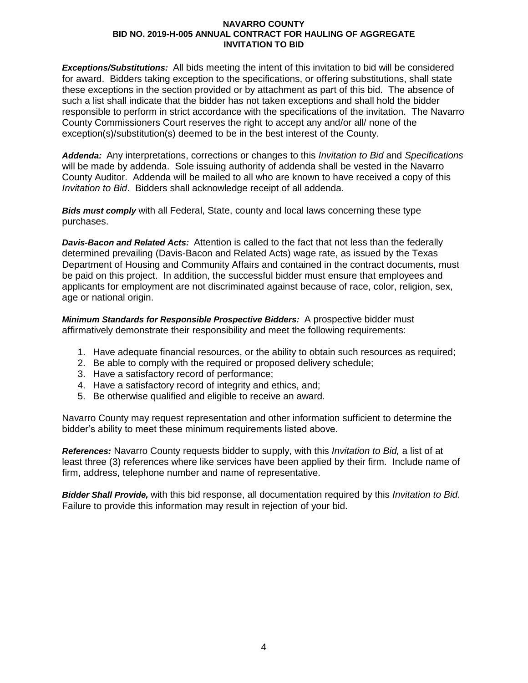*Exceptions/Substitutions:* All bids meeting the intent of this invitation to bid will be considered for award. Bidders taking exception to the specifications, or offering substitutions, shall state these exceptions in the section provided or by attachment as part of this bid. The absence of such a list shall indicate that the bidder has not taken exceptions and shall hold the bidder responsible to perform in strict accordance with the specifications of the invitation. The Navarro County Commissioners Court reserves the right to accept any and/or all/ none of the exception(s)/substitution(s) deemed to be in the best interest of the County.

*Addenda:* Any interpretations, corrections or changes to this *Invitation to Bid* and *Specifications* will be made by addenda. Sole issuing authority of addenda shall be vested in the Navarro County Auditor. Addenda will be mailed to all who are known to have received a copy of this *Invitation to Bid*. Bidders shall acknowledge receipt of all addenda.

*Bids must comply* with all Federal, State, county and local laws concerning these type purchases.

*Davis-Bacon and Related Acts:* Attention is called to the fact that not less than the federally determined prevailing (Davis-Bacon and Related Acts) wage rate, as issued by the Texas Department of Housing and Community Affairs and contained in the contract documents, must be paid on this project. In addition, the successful bidder must ensure that employees and applicants for employment are not discriminated against because of race, color, religion, sex, age or national origin.

*Minimum Standards for Responsible Prospective Bidders:* A prospective bidder must affirmatively demonstrate their responsibility and meet the following requirements:

- 1. Have adequate financial resources, or the ability to obtain such resources as required;
- 2. Be able to comply with the required or proposed delivery schedule;
- 3. Have a satisfactory record of performance;
- 4. Have a satisfactory record of integrity and ethics, and;
- 5. Be otherwise qualified and eligible to receive an award.

Navarro County may request representation and other information sufficient to determine the bidder's ability to meet these minimum requirements listed above.

*References:* Navarro County requests bidder to supply, with this *Invitation to Bid,* a list of at least three (3) references where like services have been applied by their firm. Include name of firm, address, telephone number and name of representative.

*Bidder Shall Provide,* with this bid response, all documentation required by this *Invitation to Bid*. Failure to provide this information may result in rejection of your bid.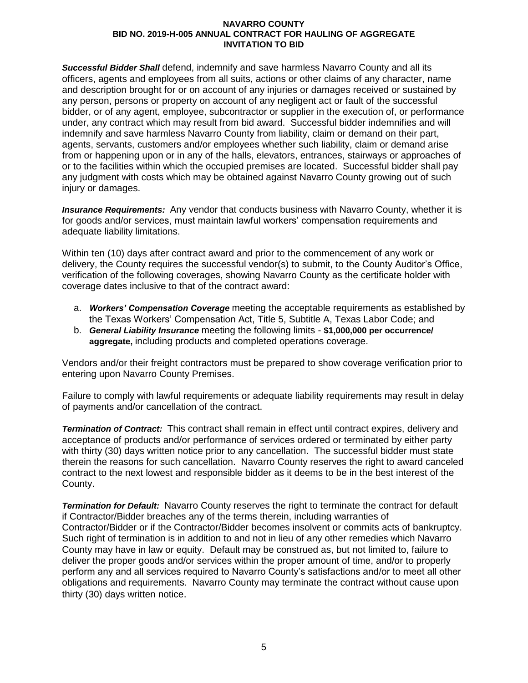*Successful Bidder Shall* defend, indemnify and save harmless Navarro County and all its officers, agents and employees from all suits, actions or other claims of any character, name and description brought for or on account of any injuries or damages received or sustained by any person, persons or property on account of any negligent act or fault of the successful bidder, or of any agent, employee, subcontractor or supplier in the execution of, or performance under, any contract which may result from bid award. Successful bidder indemnifies and will indemnify and save harmless Navarro County from liability, claim or demand on their part, agents, servants, customers and/or employees whether such liability, claim or demand arise from or happening upon or in any of the halls, elevators, entrances, stairways or approaches of or to the facilities within which the occupied premises are located. Successful bidder shall pay any judgment with costs which may be obtained against Navarro County growing out of such injury or damages.

*Insurance Requirements:* Any vendor that conducts business with Navarro County, whether it is for goods and/or services, must maintain lawful workers' compensation requirements and adequate liability limitations.

Within ten (10) days after contract award and prior to the commencement of any work or delivery, the County requires the successful vendor(s) to submit, to the County Auditor's Office, verification of the following coverages, showing Navarro County as the certificate holder with coverage dates inclusive to that of the contract award:

- a. *Workers' Compensation Coverage* meeting the acceptable requirements as established by the Texas Workers' Compensation Act, Title 5, Subtitle A, Texas Labor Code; and
- b. *General Liability Insurance* meeting the following limits **\$1,000,000 per occurrence/ aggregate,** including products and completed operations coverage.

Vendors and/or their freight contractors must be prepared to show coverage verification prior to entering upon Navarro County Premises.

Failure to comply with lawful requirements or adequate liability requirements may result in delay of payments and/or cancellation of the contract.

*Termination of Contract:* This contract shall remain in effect until contract expires, delivery and acceptance of products and/or performance of services ordered or terminated by either party with thirty (30) days written notice prior to any cancellation. The successful bidder must state therein the reasons for such cancellation. Navarro County reserves the right to award canceled contract to the next lowest and responsible bidder as it deems to be in the best interest of the County.

*Termination for Default:* Navarro County reserves the right to terminate the contract for default if Contractor/Bidder breaches any of the terms therein, including warranties of Contractor/Bidder or if the Contractor/Bidder becomes insolvent or commits acts of bankruptcy. Such right of termination is in addition to and not in lieu of any other remedies which Navarro County may have in law or equity. Default may be construed as, but not limited to, failure to deliver the proper goods and/or services within the proper amount of time, and/or to properly perform any and all services required to Navarro County's satisfactions and/or to meet all other obligations and requirements. Navarro County may terminate the contract without cause upon thirty (30) days written notice.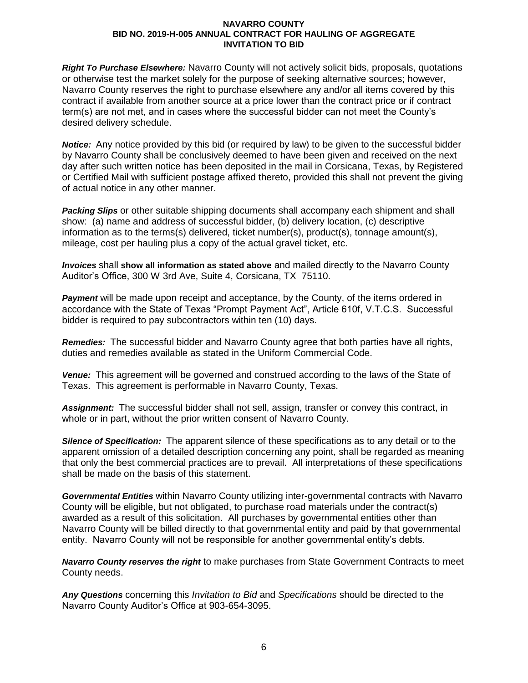*Right To Purchase Elsewhere:* Navarro County will not actively solicit bids, proposals, quotations or otherwise test the market solely for the purpose of seeking alternative sources; however, Navarro County reserves the right to purchase elsewhere any and/or all items covered by this contract if available from another source at a price lower than the contract price or if contract term(s) are not met, and in cases where the successful bidder can not meet the County's desired delivery schedule.

*Notice:* Any notice provided by this bid (or required by law) to be given to the successful bidder by Navarro County shall be conclusively deemed to have been given and received on the next day after such written notice has been deposited in the mail in Corsicana, Texas, by Registered or Certified Mail with sufficient postage affixed thereto, provided this shall not prevent the giving of actual notice in any other manner.

*Packing Slips* or other suitable shipping documents shall accompany each shipment and shall show: (a) name and address of successful bidder, (b) delivery location, (c) descriptive information as to the terms(s) delivered, ticket number(s), product(s), tonnage amount(s), mileage, cost per hauling plus a copy of the actual gravel ticket, etc.

*Invoices* shall **show all information as stated above** and mailed directly to the Navarro County Auditor's Office, 300 W 3rd Ave, Suite 4, Corsicana, TX 75110.

**Payment** will be made upon receipt and acceptance, by the County, of the items ordered in accordance with the State of Texas "Prompt Payment Act", Article 610f, V.T.C.S. Successful bidder is required to pay subcontractors within ten (10) days.

*Remedies:* The successful bidder and Navarro County agree that both parties have all rights, duties and remedies available as stated in the Uniform Commercial Code.

*Venue:* This agreement will be governed and construed according to the laws of the State of Texas. This agreement is performable in Navarro County, Texas.

*Assignment:* The successful bidder shall not sell, assign, transfer or convey this contract, in whole or in part, without the prior written consent of Navarro County.

*Silence of Specification:* The apparent silence of these specifications as to any detail or to the apparent omission of a detailed description concerning any point, shall be regarded as meaning that only the best commercial practices are to prevail. All interpretations of these specifications shall be made on the basis of this statement.

*Governmental Entities* within Navarro County utilizing inter-governmental contracts with Navarro County will be eligible, but not obligated, to purchase road materials under the contract(s) awarded as a result of this solicitation. All purchases by governmental entities other than Navarro County will be billed directly to that governmental entity and paid by that governmental entity. Navarro County will not be responsible for another governmental entity's debts.

*Navarro County reserves the right* to make purchases from State Government Contracts to meet County needs.

*Any Questions* concerning this *Invitation to Bid* and *Specifications* should be directed to the Navarro County Auditor's Office at 903-654-3095.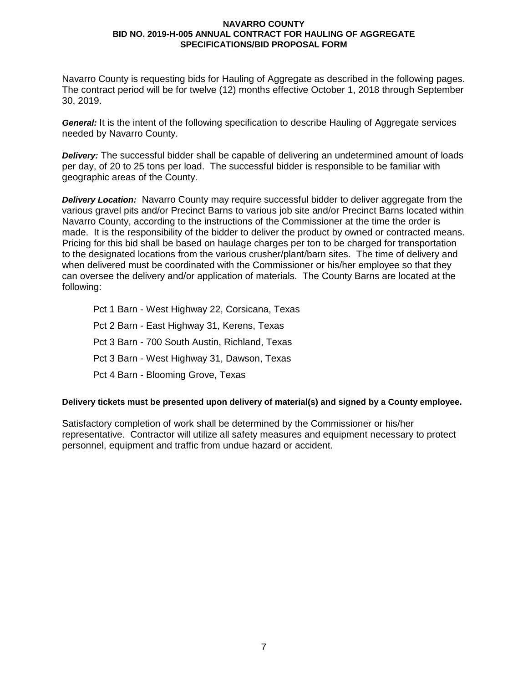Navarro County is requesting bids for Hauling of Aggregate as described in the following pages. The contract period will be for twelve (12) months effective October 1, 2018 through September 30, 2019.

*General:* It is the intent of the following specification to describe Hauling of Aggregate services needed by Navarro County.

*Delivery:* The successful bidder shall be capable of delivering an undetermined amount of loads per day, of 20 to 25 tons per load. The successful bidder is responsible to be familiar with geographic areas of the County.

*Delivery Location:* Navarro County may require successful bidder to deliver aggregate from the various gravel pits and/or Precinct Barns to various job site and/or Precinct Barns located within Navarro County, according to the instructions of the Commissioner at the time the order is made. It is the responsibility of the bidder to deliver the product by owned or contracted means. Pricing for this bid shall be based on haulage charges per ton to be charged for transportation to the designated locations from the various crusher/plant/barn sites. The time of delivery and when delivered must be coordinated with the Commissioner or his/her employee so that they can oversee the delivery and/or application of materials. The County Barns are located at the following:

Pct 1 Barn - West Highway 22, Corsicana, Texas Pct 2 Barn - East Highway 31, Kerens, Texas Pct 3 Barn - 700 South Austin, Richland, Texas Pct 3 Barn - West Highway 31, Dawson, Texas Pct 4 Barn - Blooming Grove, Texas

# **Delivery tickets must be presented upon delivery of material(s) and signed by a County employee.**

Satisfactory completion of work shall be determined by the Commissioner or his/her representative. Contractor will utilize all safety measures and equipment necessary to protect personnel, equipment and traffic from undue hazard or accident.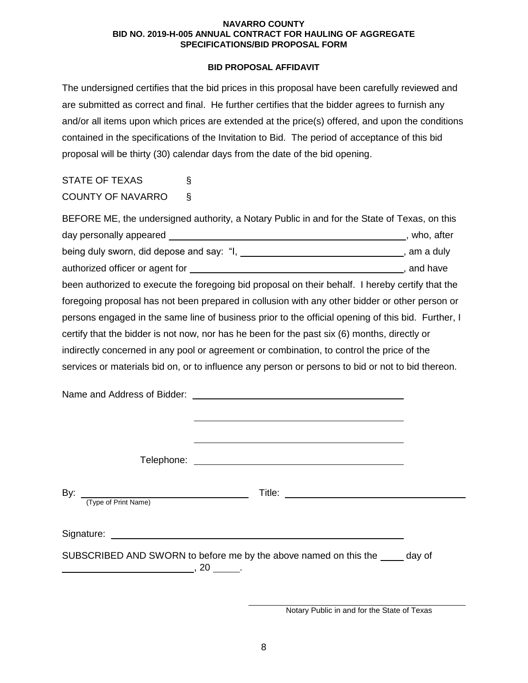# **BID PROPOSAL AFFIDAVIT**

The undersigned certifies that the bid prices in this proposal have been carefully reviewed and are submitted as correct and final. He further certifies that the bidder agrees to furnish any and/or all items upon which prices are extended at the price(s) offered, and upon the conditions contained in the specifications of the Invitation to Bid. The period of acceptance of this bid proposal will be thirty (30) calendar days from the date of the bid opening.

# STATE OF TEXAS § COUNTY OF NAVARRO §

| BEFORE ME, the undersigned authority, a Notary Public in and for the State of Texas, on this       |  |
|----------------------------------------------------------------------------------------------------|--|
|                                                                                                    |  |
| being duly sworn, did depose and say: "I, ________________________________, am a duly              |  |
|                                                                                                    |  |
| been authorized to execute the foregoing bid proposal on their behalf. I hereby certify that the   |  |
| foregoing proposal has not been prepared in collusion with any other bidder or other person or     |  |
| persons engaged in the same line of business prior to the official opening of this bid. Further, I |  |
| certify that the bidder is not now, nor has he been for the past six (6) months, directly or       |  |
| indirectly concerned in any pool or agreement or combination, to control the price of the          |  |
| services or materials bid on, or to influence any person or persons to bid or not to bid thereon.  |  |
|                                                                                                    |  |
|                                                                                                    |  |
| (Type of Print Name)                                                                               |  |
|                                                                                                    |  |
| SUBSCRIBED AND SWORN to before me by the above named on this the _____ day of                      |  |

Notary Public in and for the State of Texas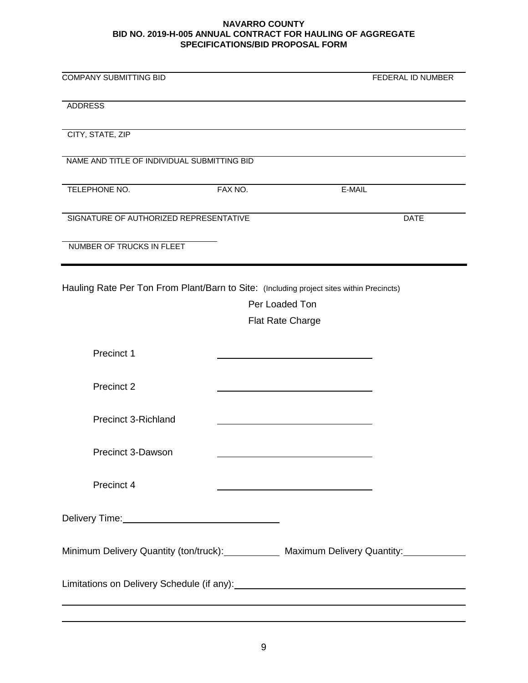| <b>COMPANY SUBMITTING BID</b>                                                            |                         | FEDERAL ID NUMBER                                                                            |
|------------------------------------------------------------------------------------------|-------------------------|----------------------------------------------------------------------------------------------|
| <b>ADDRESS</b>                                                                           |                         |                                                                                              |
| CITY, STATE, ZIP                                                                         |                         |                                                                                              |
| NAME AND TITLE OF INDIVIDUAL SUBMITTING BID                                              |                         |                                                                                              |
| TELEPHONE NO.                                                                            | FAX NO.                 | E-MAIL                                                                                       |
| SIGNATURE OF AUTHORIZED REPRESENTATIVE                                                   |                         | <b>DATE</b>                                                                                  |
| NUMBER OF TRUCKS IN FLEET                                                                |                         |                                                                                              |
| Hauling Rate Per Ton From Plant/Barn to Site: (Including project sites within Precincts) |                         |                                                                                              |
|                                                                                          | Per Loaded Ton          |                                                                                              |
|                                                                                          | <b>Flat Rate Charge</b> |                                                                                              |
|                                                                                          |                         |                                                                                              |
| Precinct 1                                                                               |                         |                                                                                              |
| Precinct 2                                                                               |                         |                                                                                              |
| <b>Precinct 3-Richland</b>                                                               |                         |                                                                                              |
| Precinct 3-Dawson                                                                        |                         |                                                                                              |
| Precinct 4                                                                               |                         | <u> 1989 - Johann Barn, mars an t-Amerikaansk kommunister (</u>                              |
|                                                                                          |                         |                                                                                              |
|                                                                                          |                         | Minimum Delivery Quantity (ton/truck): Maximum Delivery Quantity: Minimum Delivery Quantity: |
|                                                                                          |                         |                                                                                              |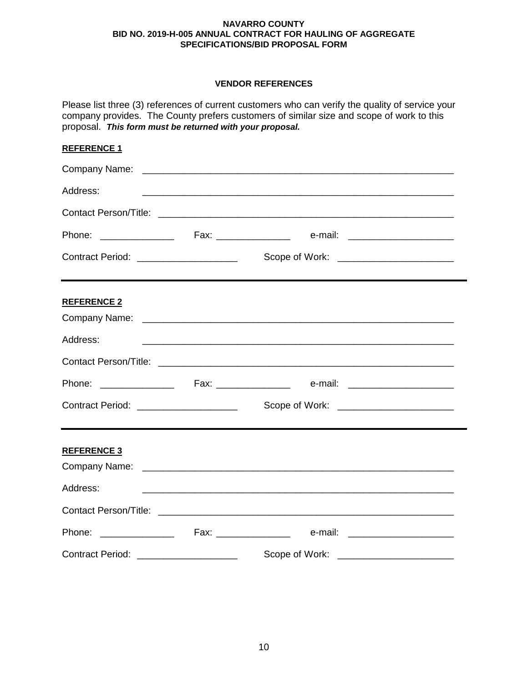# **VENDOR REFERENCES**

Please list three (3) references of current customers who can verify the quality of service your company provides. The County prefers customers of similar size and scope of work to this proposal. *This form must be returned with your proposal.*

# **REFERENCE 1**

| Address:                                |  | <u> 1999 - Johann Harry Harry Harry Harry Harry Harry Harry Harry Harry Harry Harry Harry Harry Harry Harry Harry</u> |
|-----------------------------------------|--|-----------------------------------------------------------------------------------------------------------------------|
|                                         |  |                                                                                                                       |
|                                         |  |                                                                                                                       |
| Contract Period: ______________________ |  |                                                                                                                       |
| <b>REFERENCE 2</b>                      |  |                                                                                                                       |
| Address:                                |  | <u> 1999 - Jan Barbara, martxa al Indonesia (h. 1989).</u>                                                            |
|                                         |  |                                                                                                                       |
|                                         |  |                                                                                                                       |
| Contract Period: ______________________ |  | Scope of Work: <u>______________________</u>                                                                          |
| <b>REFERENCE 3</b>                      |  |                                                                                                                       |
| Address:                                |  |                                                                                                                       |
|                                         |  |                                                                                                                       |
|                                         |  |                                                                                                                       |
| Contract Period: _____________________  |  |                                                                                                                       |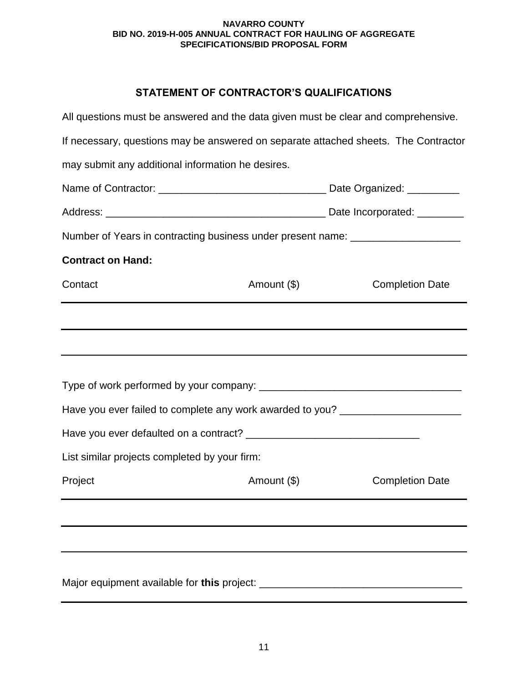# **STATEMENT OF CONTRACTOR'S QUALIFICATIONS**

| All questions must be answered and the data given must be clear and comprehensive.  |             |                        |  |  |
|-------------------------------------------------------------------------------------|-------------|------------------------|--|--|
| If necessary, questions may be answered on separate attached sheets. The Contractor |             |                        |  |  |
| may submit any additional information he desires.                                   |             |                        |  |  |
|                                                                                     |             |                        |  |  |
|                                                                                     |             |                        |  |  |
| Number of Years in contracting business under present name: ____________________    |             |                        |  |  |
| <b>Contract on Hand:</b>                                                            |             |                        |  |  |
| Contact                                                                             | Amount (\$) | <b>Completion Date</b> |  |  |
|                                                                                     |             |                        |  |  |
|                                                                                     |             |                        |  |  |
|                                                                                     |             |                        |  |  |
|                                                                                     |             |                        |  |  |
| Have you ever failed to complete any work awarded to you? ______________________    |             |                        |  |  |
|                                                                                     |             |                        |  |  |
| List similar projects completed by your firm:                                       |             |                        |  |  |
| Project                                                                             | Amount (\$) | <b>Completion Date</b> |  |  |
|                                                                                     |             |                        |  |  |
|                                                                                     |             |                        |  |  |
|                                                                                     |             |                        |  |  |
|                                                                                     |             |                        |  |  |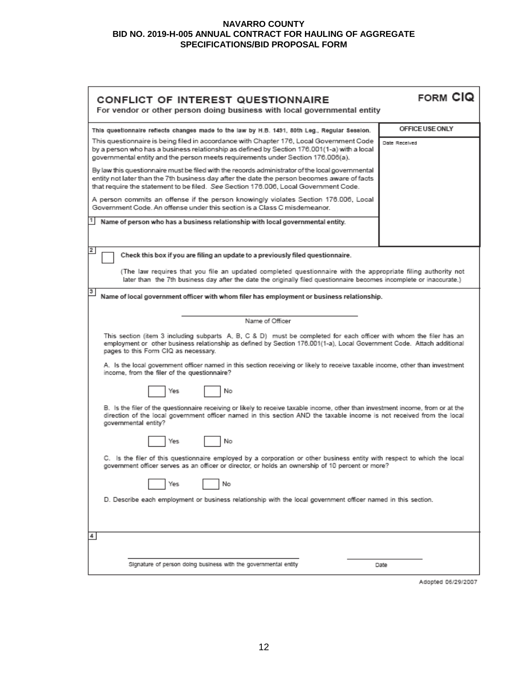| <b>CONFLICT OF INTEREST QUESTIONNAIRE</b><br>For vendor or other person doing business with local governmental entity                                                                                                                                                                                   | <b>FORM CIQ</b> |  |
|---------------------------------------------------------------------------------------------------------------------------------------------------------------------------------------------------------------------------------------------------------------------------------------------------------|-----------------|--|
| This questionnaire reflects changes made to the law by H.B. 1491, 80th Leg., Regular Session.                                                                                                                                                                                                           | OFFICE USE ONLY |  |
| This questionnaire is being filed in accordance with Chapter 176, Local Government Code<br>by a person who has a business relationship as defined by Section 176.001(1-a) with a local<br>governmental entity and the person meets requirements under Section 176.006(a).                               | Date Received   |  |
| By law this questionnaire must be filed with the records administrator of the local governmental<br>entity not later than the 7th business day after the date the person becomes aware of facts<br>that require the statement to be filed. See Section 176.006, Local Government Code.                  |                 |  |
| A person commits an offense if the person knowingly violates Section 176.006, Local<br>Government Code. An offense under this section is a Class C misdemeanor.                                                                                                                                         |                 |  |
| Name of person who has a business relationship with local governmental entity.                                                                                                                                                                                                                          |                 |  |
| 2<br>Check this box if you are filing an update to a previously filed questionnaire.                                                                                                                                                                                                                    |                 |  |
| (The law requires that you file an updated completed questionnaire with the appropriate filing authority not<br>later than the 7th business day after the date the originally filed questionnaire becomes incomplete or inaccurate.)                                                                    |                 |  |
| з<br>Name of local government officer with whom filer has employment or business relationship.                                                                                                                                                                                                          |                 |  |
|                                                                                                                                                                                                                                                                                                         |                 |  |
| Name of Officer<br>This section (item 3 including subparts A, B, C & D) must be completed for each officer with whom the filer has an<br>employment or other business relationship as defined by Section 176.001(1-a), Local Government Code. Attach additional<br>pages to this Form CIQ as necessary. |                 |  |
| A. Is the local government officer named in this section receiving or likely to receive taxable income, other than investment<br>income, from the filer of the questionnaire?                                                                                                                           |                 |  |
| No<br>Yes                                                                                                                                                                                                                                                                                               |                 |  |
| B. Is the filer of the questionnaire receiving or likely to receive taxable income, other than investment income, from or at the<br>direction of the local government officer named in this section AND the taxable income is not received from the local<br>governmental entity?                       |                 |  |
| No<br>Yes                                                                                                                                                                                                                                                                                               |                 |  |
| C. Is the filer of this questionnaire employed by a corporation or other business entity with respect to which the local<br>government officer serves as an officer or director, or holds an ownership of 10 percent or more?                                                                           |                 |  |
| No<br>Yes                                                                                                                                                                                                                                                                                               |                 |  |
| D. Describe each employment or business relationship with the local government officer named in this section.                                                                                                                                                                                           |                 |  |
|                                                                                                                                                                                                                                                                                                         |                 |  |
| 4                                                                                                                                                                                                                                                                                                       |                 |  |
| Signature of person doing business with the governmental entity                                                                                                                                                                                                                                         | Date            |  |

Adopted 06/29/2007